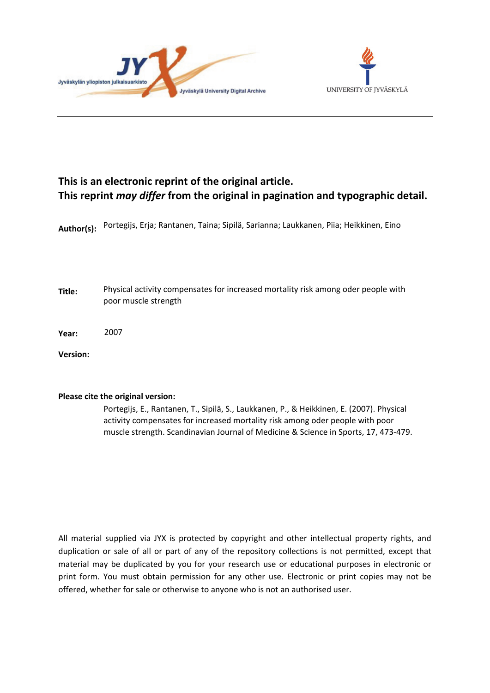



# **This is an electronic reprint of the original article. This reprint** *may differ* **from the original in pagination and typographic detail.**

**Author(s):**  Portegijs, Erja; Rantanen, Taina; Sipilä, Sarianna; Laukkanen, Piia; Heikkinen, Eino

**Title:** Physical activity compensates for increased mortality risk among oder people with poor muscle strength

**Year:**  2007

**Version:**

#### **Please cite the original version:**

Portegijs, E., Rantanen, T., Sipilä, S., Laukkanen, P., & Heikkinen, E. (2007). Physical activity compensates for increased mortality risk among oder people with poor muscle strength. Scandinavian Journal of Medicine & Science in Sports, 17, 473-479.

All material supplied via JYX is protected by copyright and other intellectual property rights, and duplication or sale of all or part of any of the repository collections is not permitted, except that material may be duplicated by you for your research use or educational purposes in electronic or print form. You must obtain permission for any other use. Electronic or print copies may not be offered, whether for sale or otherwise to anyone who is not an authorised user.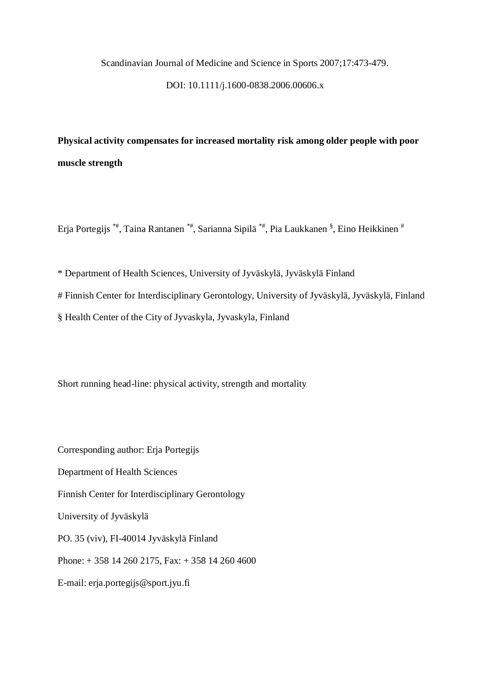Scandinavian Journal of Medicine and Science in Sports 2007;17:473-479.

DOI: 10.1111/j.1600-0838.2006.00606.x

**Physical activity compensates for increased mortality risk among older people with poor muscle strength**

Erja Portegijs \*#, Taina Rantanen \*#, Sarianna Sipilä \*#, Pia Laukkanen <sup>§</sup>, Eino Heikkinen <sup>#</sup>

\* Department of Health Sciences, University of Jyväskylä, Jyväskylä Finland

# Finnish Center for Interdisciplinary Gerontology, University of Jyväskylä, Jyväskylä, Finland

§ Health Center of the City of Jyvaskyla, Jyvaskyla, Finland

Short running head-line: physical activity, strength and mortality

Corresponding author: Erja Portegijs Department of Health Sciences Finnish Center for Interdisciplinary Gerontology University of Jyväskylä PO. 35 (viv), FI-40014 Jyväskylä Finland Phone: + 358 14 260 2175, Fax: + 358 14 260 4600 E-mail: erja.portegijs@sport.jyu.fi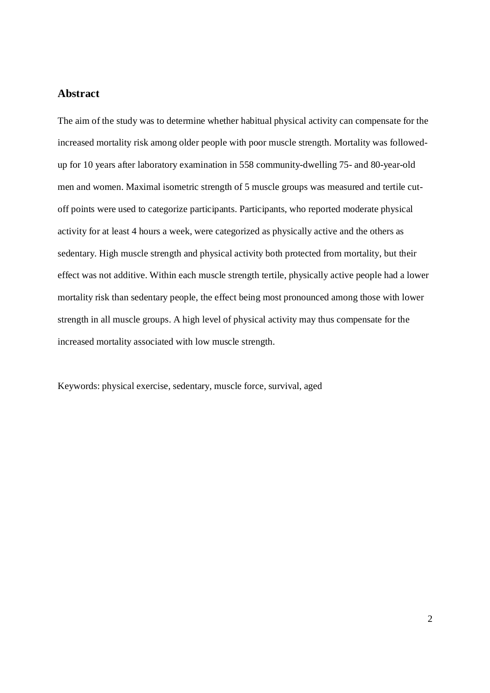## **Abstract**

The aim of the study was to determine whether habitual physical activity can compensate for the increased mortality risk among older people with poor muscle strength. Mortality was followedup for 10 years after laboratory examination in 558 community-dwelling 75- and 80-year-old men and women. Maximal isometric strength of 5 muscle groups was measured and tertile cutoff points were used to categorize participants. Participants, who reported moderate physical activity for at least 4 hours a week, were categorized as physically active and the others as sedentary. High muscle strength and physical activity both protected from mortality, but their effect was not additive. Within each muscle strength tertile, physically active people had a lower mortality risk than sedentary people, the effect being most pronounced among those with lower strength in all muscle groups. A high level of physical activity may thus compensate for the increased mortality associated with low muscle strength.

Keywords: physical exercise, sedentary, muscle force, survival, aged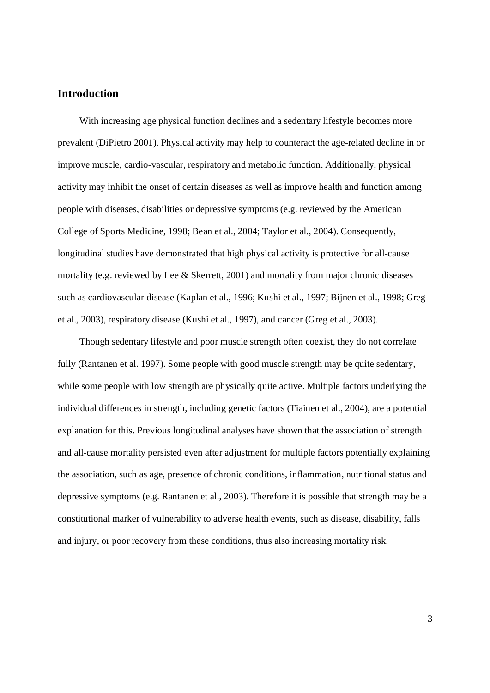## **Introduction**

With increasing age physical function declines and a sedentary lifestyle becomes more prevalent (DiPietro 2001). Physical activity may help to counteract the age-related decline in or improve muscle, cardio-vascular, respiratory and metabolic function. Additionally, physical activity may inhibit the onset of certain diseases as well as improve health and function among people with diseases, disabilities or depressive symptoms (e.g. reviewed by the American College of Sports Medicine, 1998; Bean et al., 2004; Taylor et al., 2004). Consequently, longitudinal studies have demonstrated that high physical activity is protective for all-cause mortality (e.g. reviewed by Lee & Skerrett, 2001) and mortality from major chronic diseases such as cardiovascular disease (Kaplan et al., 1996; Kushi et al., 1997; Bijnen et al., 1998; Greg et al., 2003), respiratory disease (Kushi et al., 1997), and cancer (Greg et al., 2003).

Though sedentary lifestyle and poor muscle strength often coexist, they do not correlate fully (Rantanen et al. 1997). Some people with good muscle strength may be quite sedentary, while some people with low strength are physically quite active. Multiple factors underlying the individual differences in strength, including genetic factors (Tiainen et al., 2004), are a potential explanation for this. Previous longitudinal analyses have shown that the association of strength and all-cause mortality persisted even after adjustment for multiple factors potentially explaining the association, such as age, presence of chronic conditions, inflammation, nutritional status and depressive symptoms (e.g. Rantanen et al., 2003). Therefore it is possible that strength may be a constitutional marker of vulnerability to adverse health events, such as disease, disability, falls and injury, or poor recovery from these conditions, thus also increasing mortality risk.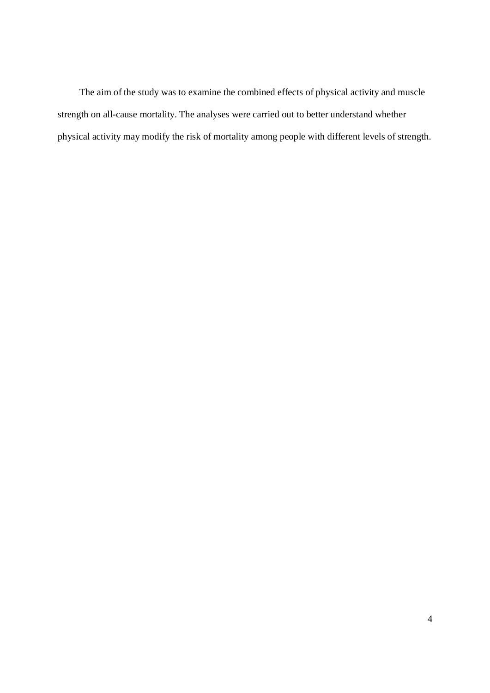The aim of the study was to examine the combined effects of physical activity and muscle strength on all-cause mortality. The analyses were carried out to better understand whether physical activity may modify the risk of mortality among people with different levels of strength.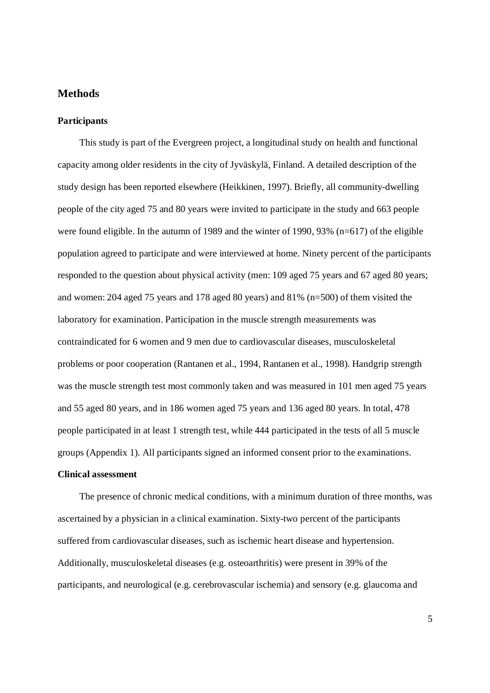## **Methods**

#### **Participants**

This study is part of the Evergreen project, a longitudinal study on health and functional capacity among older residents in the city of Jyväskylä, Finland. A detailed description of the study design has been reported elsewhere (Heikkinen, 1997). Briefly, all community-dwelling people of the city aged 75 and 80 years were invited to participate in the study and 663 people were found eligible. In the autumn of 1989 and the winter of 1990, 93% (n=617) of the eligible population agreed to participate and were interviewed at home. Ninety percent of the participants responded to the question about physical activity (men: 109 aged 75 years and 67 aged 80 years; and women: 204 aged 75 years and 178 aged 80 years) and 81% (n=500) of them visited the laboratory for examination. Participation in the muscle strength measurements was contraindicated for 6 women and 9 men due to cardiovascular diseases, musculoskeletal problems or poor cooperation (Rantanen et al., 1994, Rantanen et al., 1998). Handgrip strength was the muscle strength test most commonly taken and was measured in 101 men aged 75 years and 55 aged 80 years, and in 186 women aged 75 years and 136 aged 80 years. In total, 478 people participated in at least 1 strength test, while 444 participated in the tests of all 5 muscle groups (Appendix 1). All participants signed an informed consent prior to the examinations.

## **Clinical assessment**

The presence of chronic medical conditions, with a minimum duration of three months, was ascertained by a physician in a clinical examination. Sixty-two percent of the participants suffered from cardiovascular diseases, such as ischemic heart disease and hypertension. Additionally, musculoskeletal diseases (e.g. osteoarthritis) were present in 39% of the participants, and neurological (e.g. cerebrovascular ischemia) and sensory (e.g. glaucoma and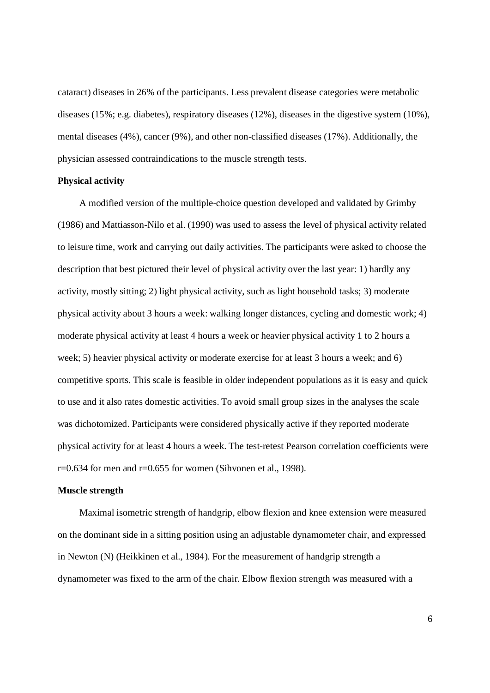cataract) diseases in 26% of the participants. Less prevalent disease categories were metabolic diseases (15%; e.g. diabetes), respiratory diseases (12%), diseases in the digestive system (10%), mental diseases (4%), cancer (9%), and other non-classified diseases (17%). Additionally, the physician assessed contraindications to the muscle strength tests.

#### **Physical activity**

A modified version of the multiple-choice question developed and validated by Grimby (1986) and Mattiasson-Nilo et al. (1990) was used to assess the level of physical activity related to leisure time, work and carrying out daily activities. The participants were asked to choose the description that best pictured their level of physical activity over the last year: 1) hardly any activity, mostly sitting; 2) light physical activity, such as light household tasks; 3) moderate physical activity about 3 hours a week: walking longer distances, cycling and domestic work; 4) moderate physical activity at least 4 hours a week or heavier physical activity 1 to 2 hours a week; 5) heavier physical activity or moderate exercise for at least 3 hours a week; and 6) competitive sports. This scale is feasible in older independent populations as it is easy and quick to use and it also rates domestic activities. To avoid small group sizes in the analyses the scale was dichotomized. Participants were considered physically active if they reported moderate physical activity for at least 4 hours a week. The test-retest Pearson correlation coefficients were r=0.634 for men and r=0.655 for women (Sihvonen et al., 1998).

#### **Muscle strength**

Maximal isometric strength of handgrip, elbow flexion and knee extension were measured on the dominant side in a sitting position using an adjustable dynamometer chair, and expressed in Newton (N) (Heikkinen et al., 1984). For the measurement of handgrip strength a dynamometer was fixed to the arm of the chair. Elbow flexion strength was measured with a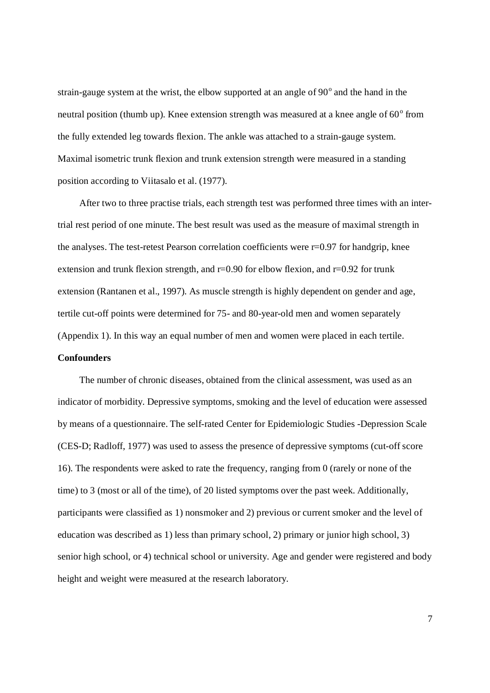strain-gauge system at the wrist, the elbow supported at an angle of  $90^{\circ}$  and the hand in the neutral position (thumb up). Knee extension strength was measured at a knee angle of  $60^{\circ}$  from the fully extended leg towards flexion. The ankle was attached to a strain-gauge system. Maximal isometric trunk flexion and trunk extension strength were measured in a standing position according to Viitasalo et al. (1977).

After two to three practise trials, each strength test was performed three times with an intertrial rest period of one minute. The best result was used as the measure of maximal strength in the analyses. The test-retest Pearson correlation coefficients were r=0.97 for handgrip, knee extension and trunk flexion strength, and  $r=0.90$  for elbow flexion, and  $r=0.92$  for trunk extension (Rantanen et al., 1997). As muscle strength is highly dependent on gender and age, tertile cut-off points were determined for 75- and 80-year-old men and women separately (Appendix 1). In this way an equal number of men and women were placed in each tertile.

## **Confounders**

The number of chronic diseases, obtained from the clinical assessment, was used as an indicator of morbidity. Depressive symptoms, smoking and the level of education were assessed by means of a questionnaire. The self-rated Center for Epidemiologic Studies -Depression Scale (CES-D; Radloff, 1977) was used to assess the presence of depressive symptoms (cut-off score 16). The respondents were asked to rate the frequency, ranging from 0 (rarely or none of the time) to 3 (most or all of the time), of 20 listed symptoms over the past week. Additionally, participants were classified as 1) nonsmoker and 2) previous or current smoker and the level of education was described as 1) less than primary school, 2) primary or junior high school, 3) senior high school, or 4) technical school or university. Age and gender were registered and body height and weight were measured at the research laboratory.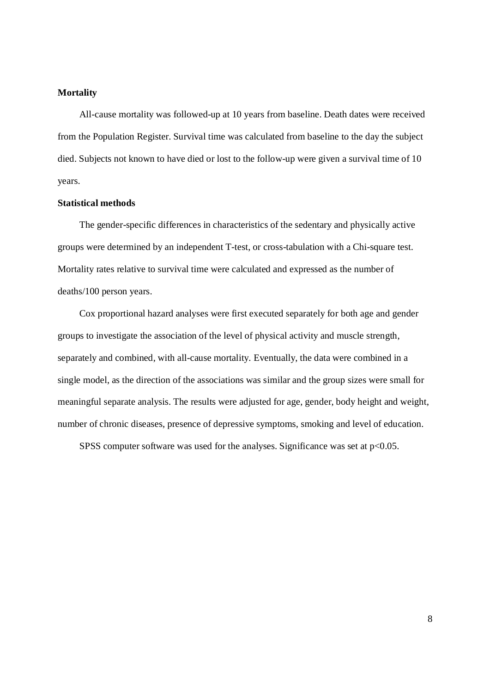#### **Mortality**

All-cause mortality was followed-up at 10 years from baseline. Death dates were received from the Population Register. Survival time was calculated from baseline to the day the subject died. Subjects not known to have died or lost to the follow-up were given a survival time of 10 years.

#### **Statistical methods**

The gender-specific differences in characteristics of the sedentary and physically active groups were determined by an independent T-test, or cross-tabulation with a Chi-square test. Mortality rates relative to survival time were calculated and expressed as the number of deaths/100 person years.

Cox proportional hazard analyses were first executed separately for both age and gender groups to investigate the association of the level of physical activity and muscle strength, separately and combined, with all-cause mortality. Eventually, the data were combined in a single model, as the direction of the associations was similar and the group sizes were small for meaningful separate analysis. The results were adjusted for age, gender, body height and weight, number of chronic diseases, presence of depressive symptoms, smoking and level of education.

SPSS computer software was used for the analyses. Significance was set at  $p<0.05$ .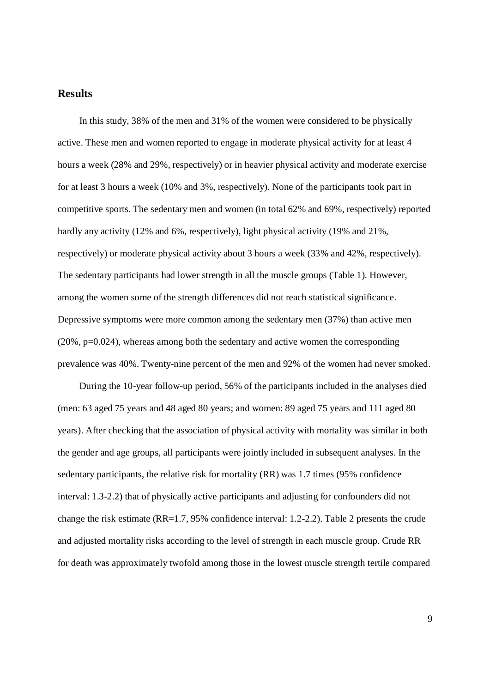## **Results**

In this study, 38% of the men and 31% of the women were considered to be physically active. These men and women reported to engage in moderate physical activity for at least 4 hours a week (28% and 29%, respectively) or in heavier physical activity and moderate exercise for at least 3 hours a week (10% and 3%, respectively). None of the participants took part in competitive sports. The sedentary men and women (in total 62% and 69%, respectively) reported hardly any activity (12% and 6%, respectively), light physical activity (19% and 21%, respectively) or moderate physical activity about 3 hours a week (33% and 42%, respectively). The sedentary participants had lower strength in all the muscle groups (Table 1). However, among the women some of the strength differences did not reach statistical significance. Depressive symptoms were more common among the sedentary men (37%) than active men (20%, p=0.024), whereas among both the sedentary and active women the corresponding prevalence was 40%. Twenty-nine percent of the men and 92% of the women had never smoked.

During the 10-year follow-up period, 56% of the participants included in the analyses died (men: 63 aged 75 years and 48 aged 80 years; and women: 89 aged 75 years and 111 aged 80 years). After checking that the association of physical activity with mortality was similar in both the gender and age groups, all participants were jointly included in subsequent analyses. In the sedentary participants, the relative risk for mortality (RR) was 1.7 times (95% confidence interval: 1.3-2.2) that of physically active participants and adjusting for confounders did not change the risk estimate (RR=1.7, 95% confidence interval: 1.2-2.2). Table 2 presents the crude and adjusted mortality risks according to the level of strength in each muscle group. Crude RR for death was approximately twofold among those in the lowest muscle strength tertile compared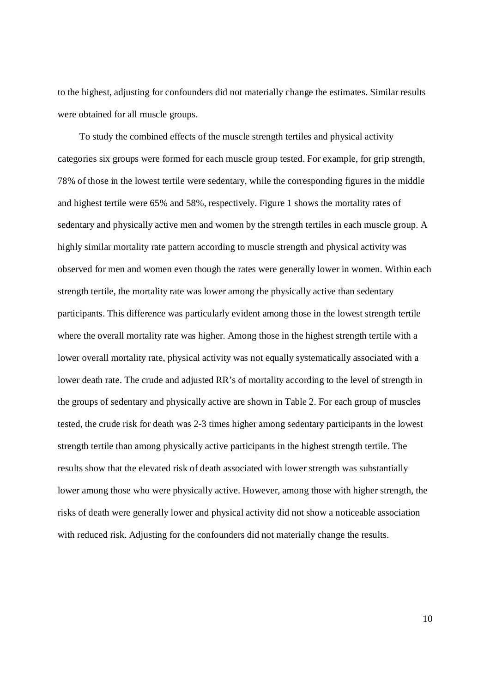to the highest, adjusting for confounders did not materially change the estimates. Similar results were obtained for all muscle groups.

To study the combined effects of the muscle strength tertiles and physical activity categories six groups were formed for each muscle group tested. For example, for grip strength, 78% of those in the lowest tertile were sedentary, while the corresponding figures in the middle and highest tertile were 65% and 58%, respectively. Figure 1 shows the mortality rates of sedentary and physically active men and women by the strength tertiles in each muscle group. A highly similar mortality rate pattern according to muscle strength and physical activity was observed for men and women even though the rates were generally lower in women. Within each strength tertile, the mortality rate was lower among the physically active than sedentary participants. This difference was particularly evident among those in the lowest strength tertile where the overall mortality rate was higher. Among those in the highest strength tertile with a lower overall mortality rate, physical activity was not equally systematically associated with a lower death rate. The crude and adjusted RR's of mortality according to the level of strength in the groups of sedentary and physically active are shown in Table 2. For each group of muscles tested, the crude risk for death was 2-3 times higher among sedentary participants in the lowest strength tertile than among physically active participants in the highest strength tertile. The results show that the elevated risk of death associated with lower strength was substantially lower among those who were physically active. However, among those with higher strength, the risks of death were generally lower and physical activity did not show a noticeable association with reduced risk. Adjusting for the confounders did not materially change the results.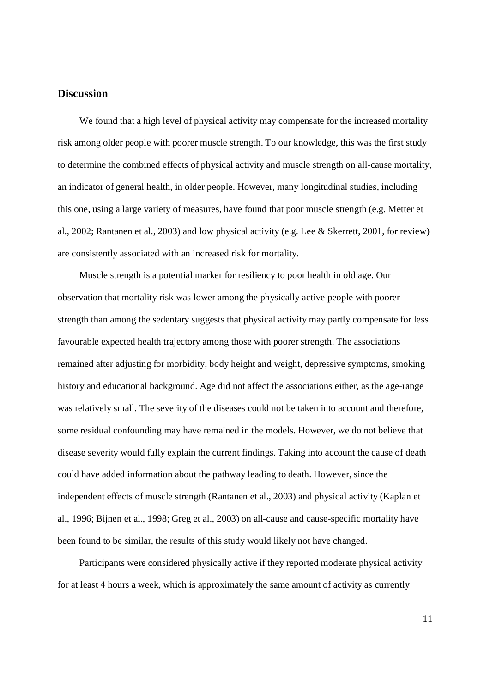### **Discussion**

We found that a high level of physical activity may compensate for the increased mortality risk among older people with poorer muscle strength. To our knowledge, this was the first study to determine the combined effects of physical activity and muscle strength on all-cause mortality, an indicator of general health, in older people. However, many longitudinal studies, including this one, using a large variety of measures, have found that poor muscle strength (e.g. Metter et al., 2002; Rantanen et al., 2003) and low physical activity (e.g. Lee & Skerrett, 2001, for review) are consistently associated with an increased risk for mortality.

Muscle strength is a potential marker for resiliency to poor health in old age. Our observation that mortality risk was lower among the physically active people with poorer strength than among the sedentary suggests that physical activity may partly compensate for less favourable expected health trajectory among those with poorer strength. The associations remained after adjusting for morbidity, body height and weight, depressive symptoms, smoking history and educational background. Age did not affect the associations either, as the age-range was relatively small. The severity of the diseases could not be taken into account and therefore, some residual confounding may have remained in the models. However, we do not believe that disease severity would fully explain the current findings. Taking into account the cause of death could have added information about the pathway leading to death. However, since the independent effects of muscle strength (Rantanen et al., 2003) and physical activity (Kaplan et al., 1996; Bijnen et al., 1998; Greg et al., 2003) on all-cause and cause-specific mortality have been found to be similar, the results of this study would likely not have changed.

Participants were considered physically active if they reported moderate physical activity for at least 4 hours a week, which is approximately the same amount of activity as currently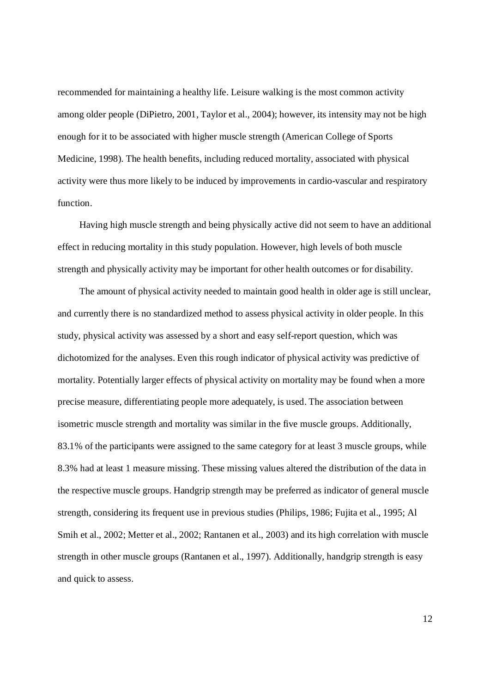recommended for maintaining a healthy life. Leisure walking is the most common activity among older people (DiPietro, 2001, Taylor et al., 2004); however, its intensity may not be high enough for it to be associated with higher muscle strength (American College of Sports Medicine, 1998). The health benefits, including reduced mortality, associated with physical activity were thus more likely to be induced by improvements in cardio-vascular and respiratory function.

Having high muscle strength and being physically active did not seem to have an additional effect in reducing mortality in this study population. However, high levels of both muscle strength and physically activity may be important for other health outcomes or for disability.

The amount of physical activity needed to maintain good health in older age is still unclear, and currently there is no standardized method to assess physical activity in older people. In this study, physical activity was assessed by a short and easy self-report question, which was dichotomized for the analyses. Even this rough indicator of physical activity was predictive of mortality. Potentially larger effects of physical activity on mortality may be found when a more precise measure, differentiating people more adequately, is used. The association between isometric muscle strength and mortality was similar in the five muscle groups. Additionally, 83.1% of the participants were assigned to the same category for at least 3 muscle groups, while 8.3% had at least 1 measure missing. These missing values altered the distribution of the data in the respective muscle groups. Handgrip strength may be preferred as indicator of general muscle strength, considering its frequent use in previous studies (Philips, 1986; Fujita et al., 1995; Al Smih et al., 2002; Metter et al., 2002; Rantanen et al., 2003) and its high correlation with muscle strength in other muscle groups (Rantanen et al., 1997). Additionally, handgrip strength is easy and quick to assess.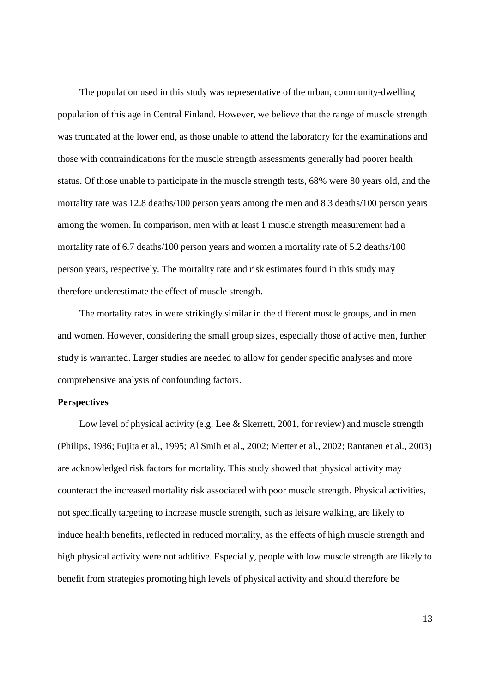The population used in this study was representative of the urban, community-dwelling population of this age in Central Finland. However, we believe that the range of muscle strength was truncated at the lower end, as those unable to attend the laboratory for the examinations and those with contraindications for the muscle strength assessments generally had poorer health status. Of those unable to participate in the muscle strength tests, 68% were 80 years old, and the mortality rate was 12.8 deaths/100 person years among the men and 8.3 deaths/100 person years among the women. In comparison, men with at least 1 muscle strength measurement had a mortality rate of 6.7 deaths/100 person years and women a mortality rate of 5.2 deaths/100 person years, respectively. The mortality rate and risk estimates found in this study may therefore underestimate the effect of muscle strength.

The mortality rates in were strikingly similar in the different muscle groups, and in men and women. However, considering the small group sizes, especially those of active men, further study is warranted. Larger studies are needed to allow for gender specific analyses and more comprehensive analysis of confounding factors.

#### **Perspectives**

Low level of physical activity (e.g. Lee & Skerrett, 2001, for review) and muscle strength (Philips, 1986; Fujita et al., 1995; Al Smih et al., 2002; Metter et al., 2002; Rantanen et al., 2003) are acknowledged risk factors for mortality. This study showed that physical activity may counteract the increased mortality risk associated with poor muscle strength. Physical activities, not specifically targeting to increase muscle strength, such as leisure walking, are likely to induce health benefits, reflected in reduced mortality, as the effects of high muscle strength and high physical activity were not additive. Especially, people with low muscle strength are likely to benefit from strategies promoting high levels of physical activity and should therefore be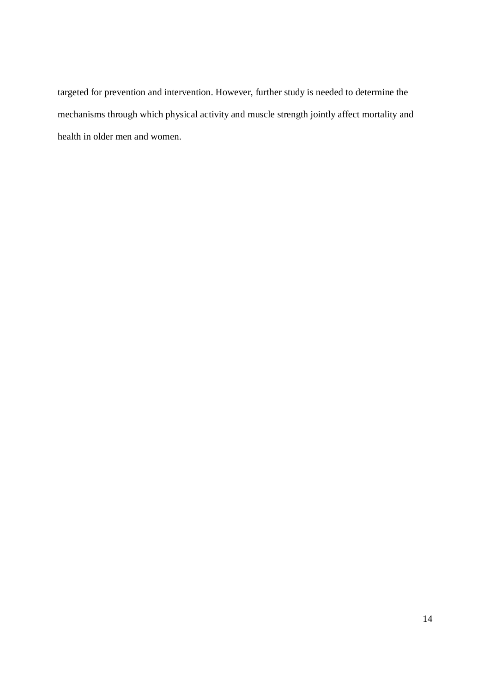targeted for prevention and intervention. However, further study is needed to determine the mechanisms through which physical activity and muscle strength jointly affect mortality and health in older men and women.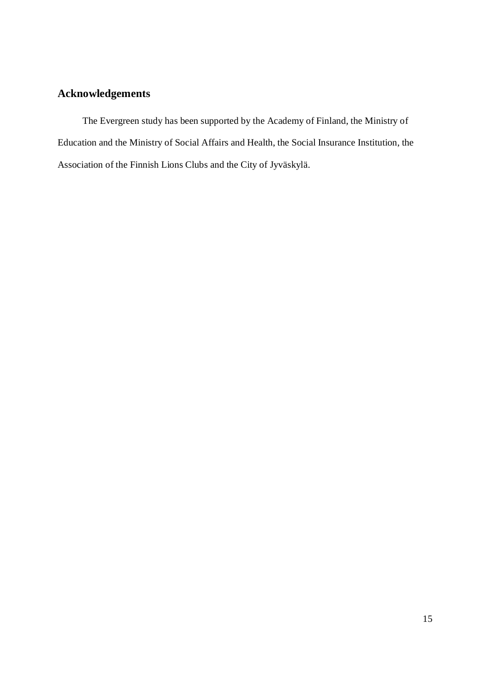## **Acknowledgements**

 The Evergreen study has been supported by the Academy of Finland, the Ministry of Education and the Ministry of Social Affairs and Health, the Social Insurance Institution, the Association of the Finnish Lions Clubs and the City of Jyväskylä.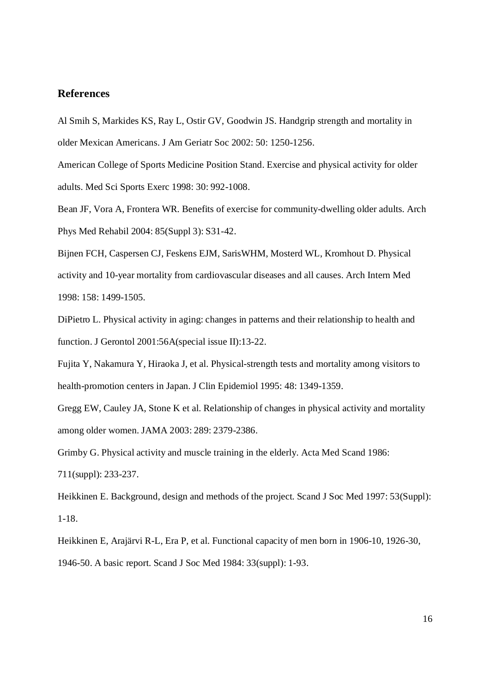## **References**

Al Smih S, Markides KS, Ray L, Ostir GV, Goodwin JS. Handgrip strength and mortality in older Mexican Americans. J Am Geriatr Soc 2002: 50: 1250-1256.

American College of Sports Medicine Position Stand. Exercise and physical activity for older adults. Med Sci Sports Exerc 1998: 30: 992-1008.

Bean JF, Vora A, Frontera WR. Benefits of exercise for community-dwelling older adults. Arch Phys Med Rehabil 2004: 85(Suppl 3): S31-42.

Bijnen FCH, Caspersen CJ, Feskens EJM, SarisWHM, Mosterd WL, Kromhout D. Physical activity and 10-year mortality from cardiovascular diseases and all causes. Arch Intern Med 1998: 158: 1499-1505.

DiPietro L. Physical activity in aging: changes in patterns and their relationship to health and function. J Gerontol 2001:56A(special issue II):13-22.

Fujita Y, Nakamura Y, Hiraoka J, et al. Physical-strength tests and mortality among visitors to health-promotion centers in Japan. J Clin Epidemiol 1995: 48: 1349-1359.

Gregg EW, Cauley JA, Stone K et al. Relationship of changes in physical activity and mortality among older women. JAMA 2003: 289: 2379-2386.

Grimby G. Physical activity and muscle training in the elderly. Acta Med Scand 1986:

711(suppl): 233-237.

Heikkinen E. Background, design and methods of the project. Scand J Soc Med 1997: 53(Suppl): 1-18.

Heikkinen E, Arajärvi R-L, Era P, et al. Functional capacity of men born in 1906-10, 1926-30, 1946-50. A basic report. Scand J Soc Med 1984: 33(suppl): 1-93.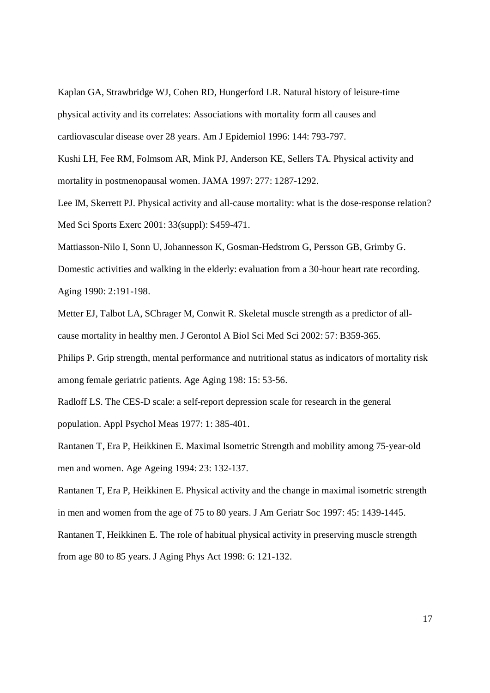Kaplan GA, Strawbridge WJ, Cohen RD, Hungerford LR. Natural history of leisure-time physical activity and its correlates: Associations with mortality form all causes and cardiovascular disease over 28 years. Am J Epidemiol 1996: 144: 793-797.

Kushi LH, Fee RM, Folmsom AR, Mink PJ, Anderson KE, Sellers TA. Physical activity and mortality in postmenopausal women. JAMA 1997: 277: 1287-1292.

Lee IM, Skerrett PJ. Physical activity and all-cause mortality: what is the dose-response relation? Med Sci Sports Exerc 2001: 33(suppl): S459-471.

Mattiasson-Nilo I, Sonn U, Johannesson K, Gosman-Hedstrom G, Persson GB, Grimby G. Domestic activities and walking in the elderly: evaluation from a 30-hour heart rate recording. Aging 1990: 2:191-198.

Metter EJ, Talbot LA, SChrager M, Conwit R. Skeletal muscle strength as a predictor of allcause mortality in healthy men. J Gerontol A Biol Sci Med Sci 2002: 57: B359-365.

Philips P. Grip strength, mental performance and nutritional status as indicators of mortality risk among female geriatric patients. Age Aging 198: 15: 53-56.

Radloff LS. The CES-D scale: a self-report depression scale for research in the general population. Appl Psychol Meas 1977: 1: 385-401.

Rantanen T, Era P, Heikkinen E. Maximal Isometric Strength and mobility among 75-year-old men and women. Age Ageing 1994: 23: 132-137.

Rantanen T, Era P, Heikkinen E. Physical activity and the change in maximal isometric strength in men and women from the age of 75 to 80 years. J Am Geriatr Soc 1997: 45: 1439-1445.

Rantanen T, Heikkinen E. The role of habitual physical activity in preserving muscle strength from age 80 to 85 years. J Aging Phys Act 1998: 6: 121-132.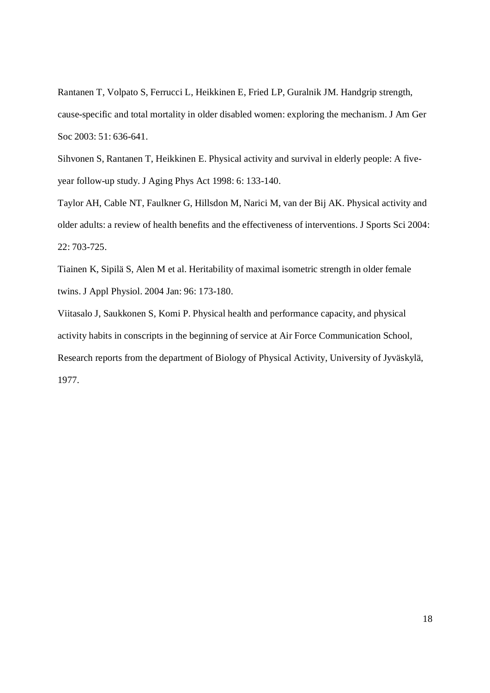Rantanen T, Volpato S, Ferrucci L, Heikkinen E, Fried LP, Guralnik JM. Handgrip strength, cause-specific and total mortality in older disabled women: exploring the mechanism. J Am Ger Soc 2003: 51: 636-641.

Sihvonen S, Rantanen T, Heikkinen E. Physical activity and survival in elderly people: A fiveyear follow-up study. J Aging Phys Act 1998: 6: 133-140.

Taylor AH, Cable NT, Faulkner G, Hillsdon M, Narici M, van der Bij AK. Physical activity and older adults: a review of health benefits and the effectiveness of interventions. J Sports Sci 2004: 22: 703-725.

Tiainen K, Sipilä S, Alen M et al. Heritability of maximal isometric strength in older female twins. J Appl Physiol. 2004 Jan: 96: 173-180.

Viitasalo J, Saukkonen S, Komi P. Physical health and performance capacity, and physical activity habits in conscripts in the beginning of service at Air Force Communication School, Research reports from the department of Biology of Physical Activity, University of Jyväskylä, 1977.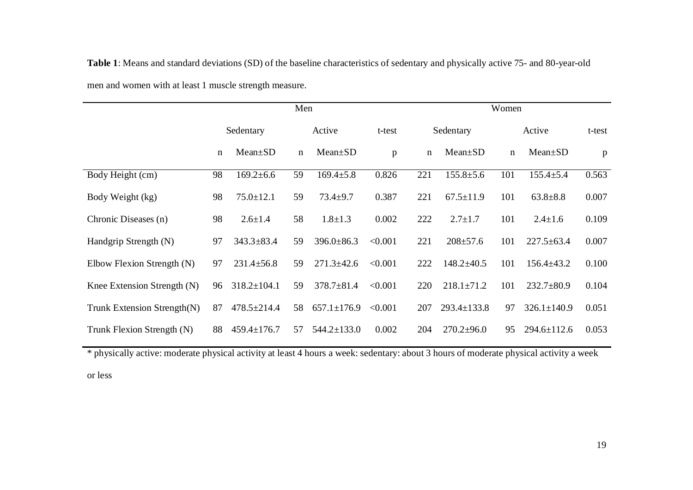**Table 1**: Means and standard deviations (SD) of the baseline characteristics of sedentary and physically active 75- and 80-year-old men and women with at least 1 muscle strength measure.

|                             | Men         |                   |             |                   |              |             | Women            |             |                   |              |  |  |
|-----------------------------|-------------|-------------------|-------------|-------------------|--------------|-------------|------------------|-------------|-------------------|--------------|--|--|
|                             | Sedentary   |                   | Active      |                   | t-test       |             | Sedentary        | Active      |                   | t-test       |  |  |
|                             | $\mathbf n$ | $Mean \pm SD$     | $\mathbf n$ | Mean±SD           | $\mathbf{p}$ | $\mathbf n$ | $Mean \pm SD$    | $\mathbf n$ | $Mean \pm SD$     | $\mathbf{p}$ |  |  |
| Body Height (cm)            | 98          | $169.2 \pm 6.6$   | 59          | $169.4 \pm 5.8$   | 0.826        | 221         | $155.8 \pm 5.6$  | 101         | $155.4 \pm 5.4$   | 0.563        |  |  |
| Body Weight (kg)            | 98          | $75.0 \pm 12.1$   | 59          | $73.4 + 9.7$      | 0.387        | 221         | $67.5 \pm 11.9$  | 101         | $63.8 \pm 8.8$    | 0.007        |  |  |
| Chronic Diseases (n)        | 98          | $2.6 \pm 1.4$     | 58          | $1.8 \pm 1.3$     | 0.002        | 222         | $2.7 \pm 1.7$    | 101         | $2.4 \pm 1.6$     | 0.109        |  |  |
| Handgrip Strength (N)       | 97          | $343.3 \pm 83.4$  | 59          | $396.0 \pm 86.3$  | < 0.001      | 221         | $208 \pm 57.6$   | 101         | $227.5 \pm 63.4$  | 0.007        |  |  |
| Elbow Flexion Strength (N)  | 97          | $231.4 \pm 56.8$  | 59          | $271.3 \pm 42.6$  | < 0.001      | 222         | $148.2 \pm 40.5$ | 101         | $156.4 \pm 43.2$  | 0.100        |  |  |
| Knee Extension Strength (N) | 96          | $318.2 \pm 104.1$ | 59          | $378.7 \pm 81.4$  | < 0.001      | 220         | $218.1 \pm 71.2$ | 101         | $232.7 \pm 80.9$  | 0.104        |  |  |
| Trunk Extension Strength(N) | 87          | $478.5 \pm 214.4$ | 58          | $657.1 \pm 176.9$ | < 0.001      | 207         | 293.4±133.8      | 97          | $326.1 \pm 140.9$ | 0.051        |  |  |
| Trunk Flexion Strength (N)  | 88          | $459.4 \pm 176.7$ | 57          | $544.2 \pm 133.0$ | 0.002        | 204         | $270.2 \pm 96.0$ | 95          | $294.6 \pm 112.6$ | 0.053        |  |  |

\* physically active: moderate physical activity at least 4 hours a week: sedentary: about 3 hours of moderate physical activity a week

or less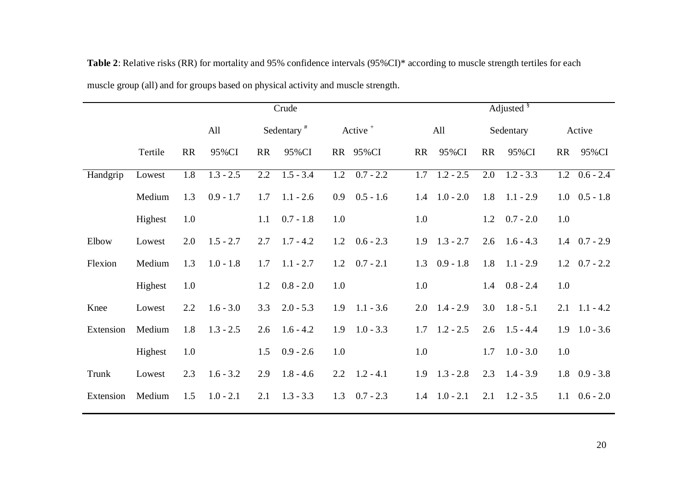|           |         | Crude     |             |           |               |     |                       | Adjusted $\frac{8}{3}$ |                 |     |                       |     |                       |
|-----------|---------|-----------|-------------|-----------|---------------|-----|-----------------------|------------------------|-----------------|-----|-----------------------|-----|-----------------------|
|           |         |           | All         |           | Sedentary $*$ |     | Active +              |                        | All             |     | Sedentary             |     | Active                |
|           | Tertile | <b>RR</b> | 95%CI       | <b>RR</b> | 95%CI         |     | RR 95%CI              | RR                     | 95%CI           | RR  | 95%CI                 |     | RR 95%CI              |
| Handgrip  | Lowest  | 1.8       | $1.3 - 2.5$ | 2.2       | $1.5 - 3.4$   | 1.2 | $0.7 - 2.2$           | 1.7                    | $1.2 - 2.5$     | 2.0 | $1.2 - 3.3$           |     | $1.2 \quad 0.6 - 2.4$ |
|           | Medium  | 1.3       | $0.9 - 1.7$ | 1.7       | $1.1 - 2.6$   |     | $0.9$ 0.5 - 1.6       |                        | $1.4$ 1.0 - 2.0 |     | $1.8$ 1.1 - 2.9       |     | $1.0 \quad 0.5 - 1.8$ |
|           | Highest | 1.0       |             | 1.1       | $0.7 - 1.8$   | 1.0 |                       | 1.0                    |                 |     | $1.2 \quad 0.7 - 2.0$ | 1.0 |                       |
| Elbow     | Lowest  | 2.0       | $1.5 - 2.7$ | 2.7       | $1.7 - 4.2$   |     | $1.2 \quad 0.6 - 2.3$ | 1.9                    | $1.3 - 2.7$     | 2.6 | $1.6 - 4.3$           |     | $1.4 \quad 0.7 - 2.9$ |
| Flexion   | Medium  | 1.3       | $1.0 - 1.8$ | 1.7       | $1.1 - 2.7$   |     | $1.2 \quad 0.7 - 2.1$ | 1.3                    | $0.9 - 1.8$     |     | $1.8$ 1.1 - 2.9       |     | $1.2 \quad 0.7 - 2.2$ |
|           | Highest | 1.0       |             | 1.2       | $0.8 - 2.0$   | 1.0 |                       | 1.0                    |                 |     | $1.4 \quad 0.8 - 2.4$ | 1.0 |                       |
| Knee      | Lowest  | 2.2       | $1.6 - 3.0$ | 3.3       | $2.0 - 5.3$   | 1.9 | $1.1 - 3.6$           | 2.0                    | $1.4 - 2.9$     | 3.0 | $1.8 - 5.1$           |     | $2.1 \quad 1.1 - 4.2$ |
| Extension | Medium  | 1.8       | $1.3 - 2.5$ | 2.6       | $1.6 - 4.2$   | 1.9 | $1.0 - 3.3$           | 1.7                    | $1.2 - 2.5$     |     | $2.6$ 1.5 - 4.4       |     | $1.9$ 1.0 - 3.6       |
|           | Highest | 1.0       |             | 1.5       | $0.9 - 2.6$   | 1.0 |                       | 1.0                    |                 | 1.7 | $1.0 - 3.0$           | 1.0 |                       |
| Trunk     | Lowest  | 2.3       | $1.6 - 3.2$ | 2.9       | $1.8 - 4.6$   | 2.2 | $1.2 - 4.1$           | 1.9                    | $1.3 - 2.8$     | 2.3 | $1.4 - 3.9$           |     | $1.8$ 0.9 - 3.8       |
| Extension | Medium  | 1.5       | $1.0 - 2.1$ | 2.1       | $1.3 - 3.3$   |     | $1.3 \quad 0.7 - 2.3$ | 1.4                    | $1.0 - 2.1$     | 2.1 | $1.2 - 3.5$           |     | $1.1 \quad 0.6 - 2.0$ |

**Table 2**: Relative risks (RR) for mortality and 95% confidence intervals (95%CI)\* according to muscle strength tertiles for each muscle group (all) and for groups based on physical activity and muscle strength.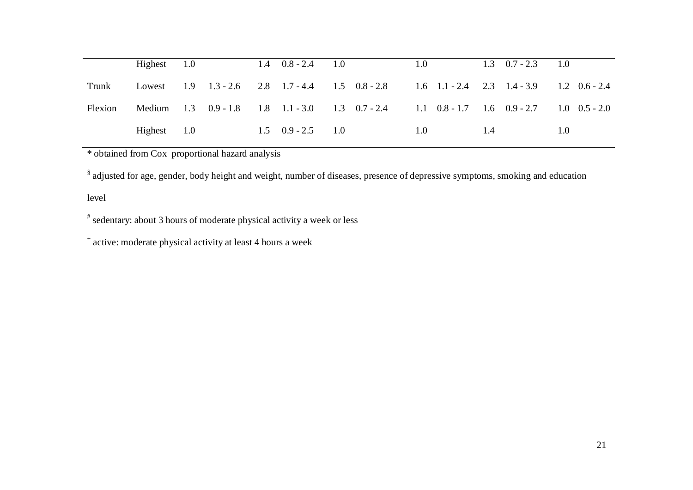|         | Highest $1.0$ |  | $1.4 \quad 0.8 - 2.4 \quad 1.0$                  |                                                                                            | 1.0 |                                 |     | $1.3 \quad 0.7 - 2.3 \quad 1.0$ |     |                       |
|---------|---------------|--|--------------------------------------------------|--------------------------------------------------------------------------------------------|-----|---------------------------------|-----|---------------------------------|-----|-----------------------|
| Trunk   |               |  |                                                  | Lowest 1.9 1.3 - 2.6 2.8 1.7 - 4.4 1.5 0.8 - 2.8 1.6 1.1 - 2.4 2.3 1.4 - 3.9 1.2 0.6 - 2.4 |     |                                 |     |                                 |     |                       |
| Flexion |               |  | Medium 1.3 0.9 - 1.8 1.8 1.1 - 3.0 1.3 0.7 - 2.4 |                                                                                            |     | 1.1 $0.8 - 1.7$ 1.6 $0.9 - 2.7$ |     |                                 |     | $1.0 \quad 0.5 - 2.0$ |
|         | Highest $1.0$ |  | $1.5 \quad 0.9 - 2.5 \quad 1.0$                  |                                                                                            | 1.0 |                                 | 1.4 |                                 | 1.0 |                       |

\* obtained from Cox proportional hazard analysis

§ adjusted for age, gender, body height and weight, number of diseases, presence of depressive symptoms, smoking and education level

# sedentary: about 3 hours of moderate physical activity a week or less

+ active: moderate physical activity at least 4 hours a week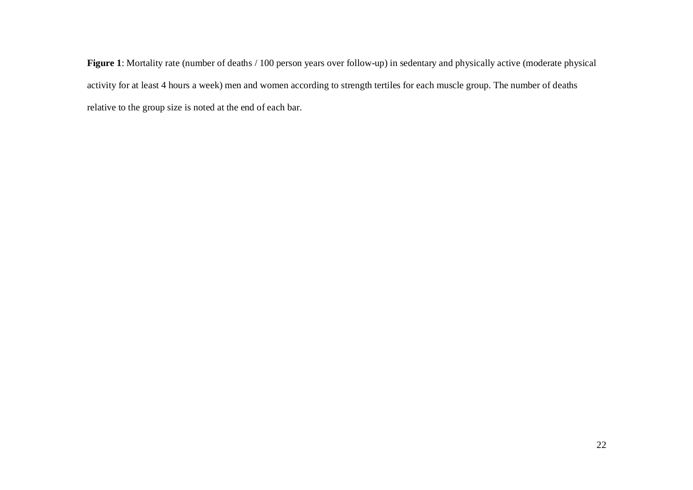**Figure 1**: Mortality rate (number of deaths / 100 person years over follow-up) in sedentary and physically active (moderate physical activity for at least 4 hours a week) men and women according to strength tertiles for each muscle group. The number of deaths relative to the group size is noted at the end of each bar.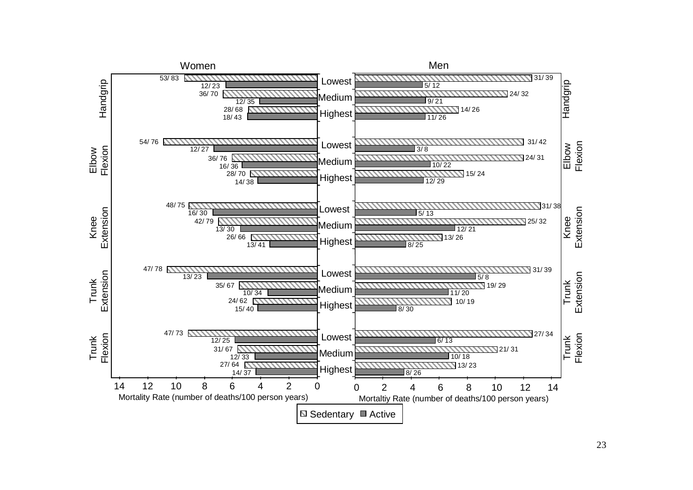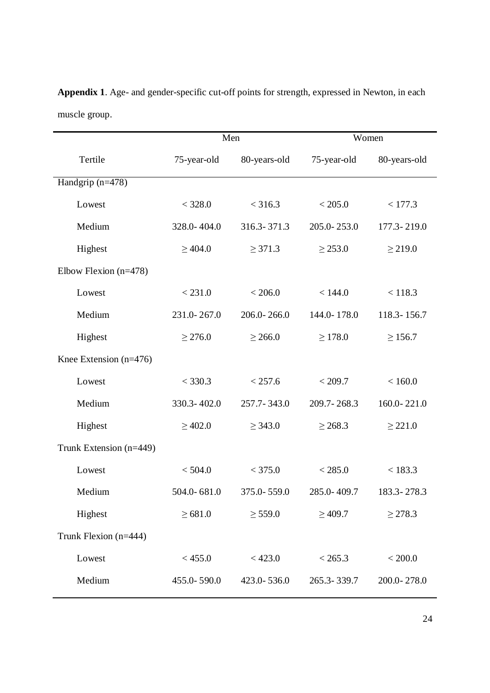**Appendix 1**. Age- and gender-specific cut-off points for strength, expressed in Newton, in each muscle group.

|                          |              | Men             | Women        |               |  |  |
|--------------------------|--------------|-----------------|--------------|---------------|--|--|
| Tertile                  | 75-year-old  | 80-years-old    | 75-year-old  | 80-years-old  |  |  |
| Handgrip (n=478)         |              |                 |              |               |  |  |
| Lowest                   | $<$ 328.0    | $<$ 316.3       | < 205.0      | < 177.3       |  |  |
| Medium                   | 328.0-404.0  | $316.3 - 371.3$ | 205.0-253.0  | 177.3 - 219.0 |  |  |
| Highest                  | $\geq 404.0$ | $\geq$ 371.3    | $\geq$ 253.0 | $\geq$ 219.0  |  |  |
| Elbow Flexion $(n=478)$  |              |                 |              |               |  |  |
| Lowest                   | < 231.0      | < 206.0         | < 144.0      | < 118.3       |  |  |
| Medium                   | 231.0-267.0  | $206.0 - 266.0$ | 144.0-178.0  | 118.3-156.7   |  |  |
| Highest                  | $\geq$ 276.0 | $\geq$ 266.0    | $\geq$ 178.0 | $\geq 156.7$  |  |  |
| Knee Extension $(n=476)$ |              |                 |              |               |  |  |
| Lowest                   | $<$ 330.3    | < 257.6         | < 209.7      | < 160.0       |  |  |
| Medium                   | 330.3-402.0  | 257.7-343.0     | 209.7-268.3  | 160.0-221.0   |  |  |
| Highest                  | $\geq 402.0$ | $\geq 343.0$    | $\geq$ 268.3 | $\geq 221.0$  |  |  |
| Trunk Extension (n=449)  |              |                 |              |               |  |  |
| Lowest                   | < 504.0      | $<$ 375.0       | < 285.0      | < 183.3       |  |  |
| Medium                   | 504.0-681.0  | 375.0-559.0     | 285.0-409.7  | 183.3 - 278.3 |  |  |
| Highest                  | $\geq 681.0$ | $\geq 559.0$    | $\geq 409.7$ | $\geq$ 278.3  |  |  |
| Trunk Flexion (n=444)    |              |                 |              |               |  |  |
| Lowest                   | < 455.0      | < 423.0         | < 265.3      | < 200.0       |  |  |
| Medium                   | 455.0-590.0  | 423.0-536.0     | 265.3-339.7  | 200.0-278.0   |  |  |